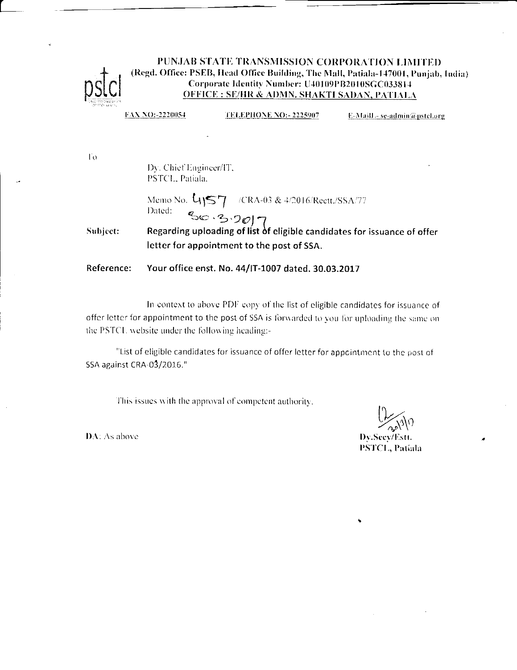

## PUNJAB STATE TRANSMISSION CORPORATION LIMITED (Regd. Office: PSEB, Head Office Building, The Mall, Patiala-147001, Punjab, India) Corporate Identity Number: U40109PB2010SGC033814 **OFFICE: SE/HR & ADMN. SHAKTI SADAN, PATIALA**

FAX NO:-2220054 **TELEPHONE NO:-2225907** E-Maill - se-admin@pstel.org

To.

Dy. Chief Engineer/IT, PSTCL, Patiala,

Memo No. 4157 /CRA-03 & 4/2016/Reett./SSA/77 Dated:

Dated:<br>Regarding uploading of list of eligible candidates for issuance of offer Subject: letter for appointment to the post of SSA.

Reference: Your office enst. No. 44/IT-1007 dated. 30.03.2017

In context to above PDF copy of the list of eligible candidates for issuance of offer letter for appointment to the post of SSA is forwarded to you for uploading the same on the PSTCL website under the following heading:-

"List of eligible candidates for issuance of offer letter for appcintment to the post of SSA against CRA-03/2016."

This issues with the approval of competent authority.

Dy.Seey/Estt. **PSTCL, Patiala** 

DA: As above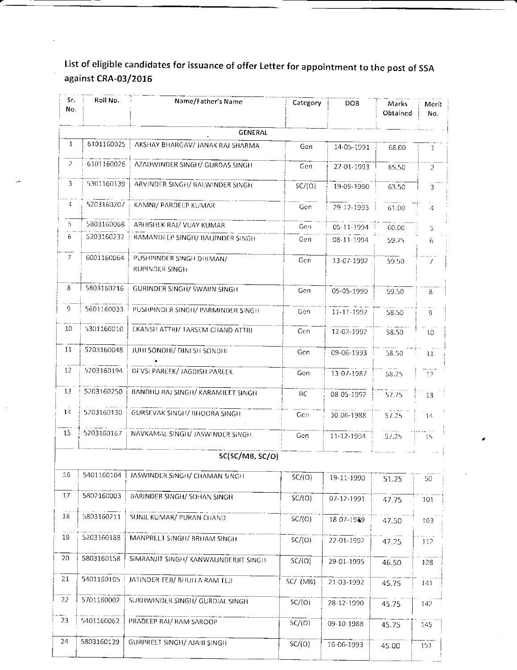List of eligible candidates for issuance of offer Letter for appointment to the post of SSA against CRA-03/2016

| Sr.<br>No.      | Roll No.   | Name/Father's Name                         | Category   | DOB.       | Marks<br>Obtained | Merit<br>No.    |
|-----------------|------------|--------------------------------------------|------------|------------|-------------------|-----------------|
|                 |            | <b>GENERAL</b>                             |            |            |                   |                 |
| $\mathbf{1}$    | 6101160025 | AKSHAY BHARGAV/ JANAK RAJ SHARMA           | Gen        | 14-05-1991 | 68.00             | $\mathbf{1}$    |
| $\mathcal{P}$   | 6101160026 | AZADWINDER SINGH/ GURDAS SINGH             | Gen        | 27-01-1993 | 65.50             | $\overline{z}$  |
| 3               | 5301160139 | ARVINDER SINGH/ BALWINDER SINGH            | SC/(O)     | 19-09-1990 | 63.50             | 3               |
| 4               | 5203160207 | KAMNI/ PARDEEP KUMAR                       | Gen.       | 29-12-1993 | 61.00             | 4               |
| 5.              | 5803160068 | ABHISHEK RAJ/ VIJAY KUMAR                  | Gen        | 05-11-1994 | 60.00             | 5.              |
| 6.              | 5203160232 | RAMANDEEP SINGH/ BALJINDER SINGH           | Gen        | 08-11-1994 | 59.75             | 6.              |
| 7               | 6001160064 | PUSHPINDER SINGH DHIMAN/<br>RUPINDER SINGH | Gen        | 13-07-1992 | 59.50             |                 |
| 8               | 5803160216 | GURINDER SINGH/ SWARN SINGH                | Gen        | 05-05-1990 | 59.50             | 8               |
| 9.              | 5601160033 | PUSHPINDER SINGH/ PARMINDER SINGH          | Gen        | 11-11-1992 | 58.50             | 9               |
| 10              | 5301160010 | EKANSH ATTRI/ TARSEM CHAND ATTRI           | Gen        | 12-02-1992 | 58.50             | 10              |
| 11              | 5203160048 | JUHI SONDHI/ DINESH SONDHI                 | Gen        | 09-06-1993 | 58.50             | 11              |
| 12 <sub>2</sub> | 5203160194 | DEVSI PAREEK/ JAGDISH PAREEK               | Gen        | 13-07-1987 | 58.25             | 12              |
| 13              | 5203160250 | BANDHU RAJ SINGH/ KARAMJEET SINGH          | BC         | 08-05-1992 | 57.75             | 13              |
| 14              | 5203160130 | <b>GURSEVAK SINGH/ BHOORA SINGH</b>        | Gen        | 30 06-1988 | 57.25             | 14              |
| 15              | 5203160167 | NAVKAMAL SINGH/ JASWINDER SINGH            | Gen        | 11-12-1994 | 57.25             | 15              |
|                 |            | SC(SC/MB, SC/O)                            |            |            |                   |                 |
| 16              | 5401160104 | JASWINDER SINGH/ CHAMAN SINGH              | SC/(O)     | 19-11-1990 | 51.25             | 50              |
| 17              | 5802160003 | <b>BARINDER SINGH/ SOHAN SINGH</b>         | SC/(O)     | 07-12-1991 | 47.75             | 101             |
| 18              | 5803160211 | SUNIL KUMAR/ PURAN CHAND                   | SC/(O)     | 18 07-1989 | 47.50             | 103             |
| 19              | 5203160188 | MANPREET SINGH/ BRHAM SINGH                | SC/(O)     | 22-01-1992 | 47.25             | 11 <sub>2</sub> |
| 20              | 5803160158 | SIMRANJIT SINGH/ KANWALINDERJIT SINGH      | SC/(O)     | 29-01-1995 | 46.50             | 128             |
| 21              | 5401160105 | JATINDER TEJI/ BHULLA RAM TEJI             | $SC/$ (MB) | 21-03-1992 | 45.75             | 141             |
| 22              | 5701160002 | SUKHWINDER SINGH/ GURDIAL SINGH            | SC/(O)     | 28-12-1990 | 45.75             | 142             |
| 23              | 5401160062 | PRADLEP RAI/ RAM SAROOP                    | SC/(O)     | 09-10-1988 | 45.75             | 145             |
| 24              | 5803160139 | <b>GURPREET SINGH/ AJAIB SINGH</b>         | SC/(O)     | 16-06-1993 | 45.00             | 151             |
|                 |            |                                            |            |            |                   |                 |